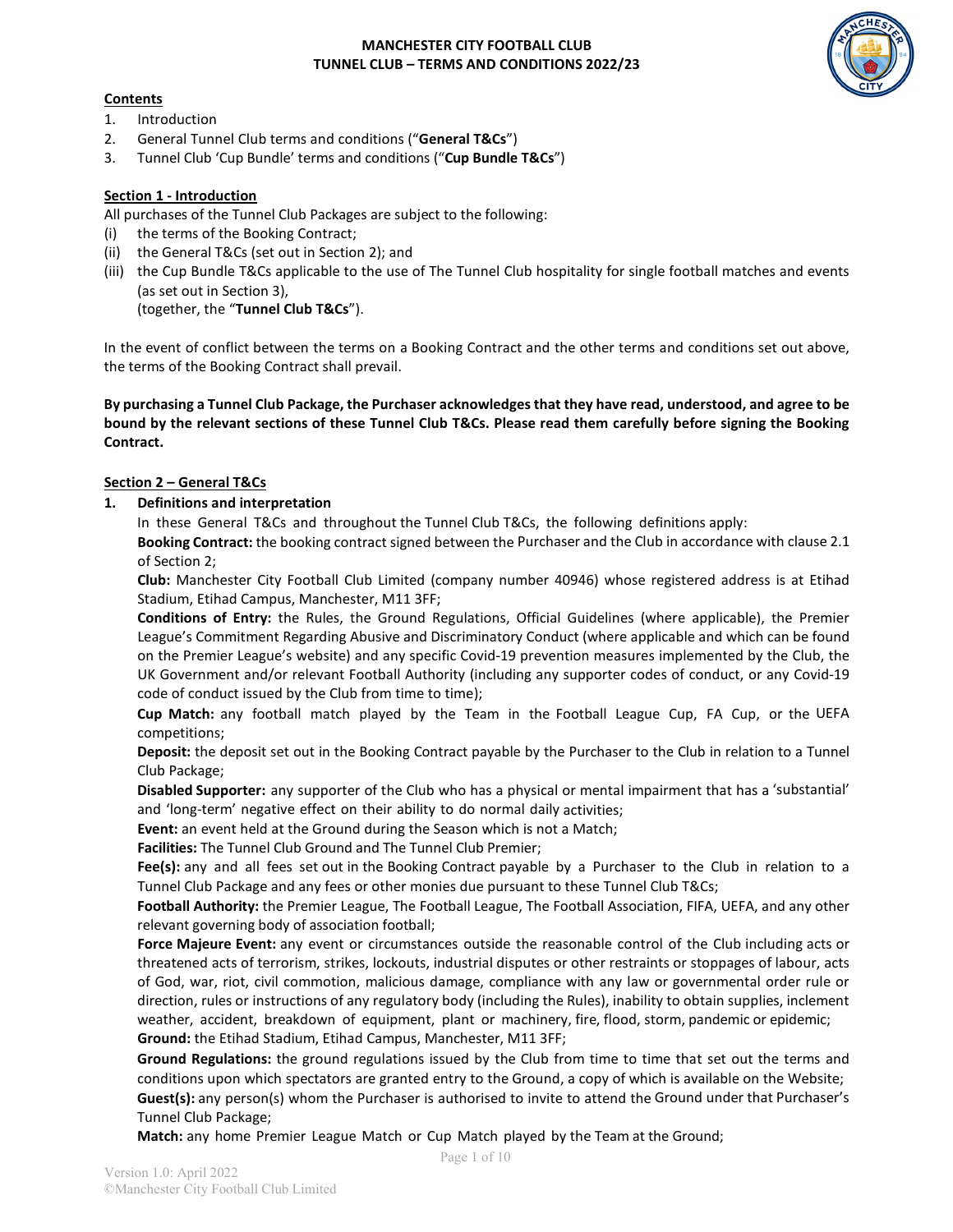

## **Contents**

- 1. Introduction
- 2. General Tunnel Club terms and conditions ("**General T&Cs**")
- 3. Tunnel Club 'Cup Bundle' terms and conditions ("**Cup Bundle T&Cs**")

## **Section 1 - Introduction**

All purchases of the Tunnel Club Packages are subject to the following:

- (i) the terms of the Booking Contract;
- (ii) the General T&Cs (set out in Section 2); and
- (iii) the Cup Bundle T&Cs applicable to the use of The Tunnel Club hospitality for single football matches and events (as set out in Section 3),

(together, the "**Tunnel Club T&Cs**").

In the event of conflict between the terms on a Booking Contract and the other terms and conditions set out above, the terms of the Booking Contract shall prevail.

**By purchasing a Tunnel Club Package, the Purchaser acknowledges that they have read, understood, and agree to be bound by the relevant sections of these Tunnel Club T&Cs. Please read them carefully before signing the Booking Contract.** 

## **Section 2 – General T&Cs**

**1. Definitions and interpretation**

In these General T&Cs and throughout the Tunnel Club T&Cs, the following definitions apply:

**Booking Contract:** the booking contract signed between the Purchaser and the Club in accordance with clause 2.1 of Section 2;

**Club:** Manchester City Football Club Limited (company number 40946) whose registered address is at Etihad Stadium, Etihad Campus, Manchester, M11 3FF;

**Conditions of Entry:** the Rules, the Ground Regulations, Official Guidelines (where applicable), the Premier League's Commitment Regarding Abusive and Discriminatory Conduct (where applicable and which can be found on the Premier League's website) and any specific Covid-19 prevention measures implemented by the Club, the UK Government and/or relevant Football Authority (including any supporter codes of conduct, or any Covid-19 code of conduct issued by the Club from time to time);

**Cup Match:** any football match played by the Team in the Football League Cup, FA Cup, or the UEFA competitions;

**Deposit:** the deposit set out in the Booking Contract payable by the Purchaser to the Club in relation to a Tunnel Club Package;

**Disabled Supporter:** any supporter of the Club who has a physical or mental impairment that has a 'substantial' and 'long-term' negative effect on their ability to do normal daily activities;

**Event:** an event held at the Ground during the Season which is not a Match;

**Facilities:** The Tunnel Club Ground and The Tunnel Club Premier;

**Fee(s):** any and all fees set out in the Booking Contract payable by a Purchaser to the Club in relation to a Tunnel Club Package and any fees or other monies due pursuant to these Tunnel Club T&Cs;

**Football Authority:** the Premier League, The Football League, The Football Association, FIFA, UEFA, and any other relevant governing body of association football;

**Force Majeure Event:** any event or circumstances outside the reasonable control of the Club including acts or threatened acts of terrorism, strikes, lockouts, industrial disputes or other restraints or stoppages of labour, acts of God, war, riot, civil commotion, malicious damage, compliance with any law or governmental order rule or direction, rules or instructions of any regulatory body (including the Rules), inability to obtain supplies, inclement weather, accident, breakdown of equipment, plant or machinery, fire, flood, storm, pandemic or epidemic; **Ground:** the Etihad Stadium, Etihad Campus, Manchester, M11 3FF;

**Ground Regulations:** the ground regulations issued by the Club from time to time that set out the terms and conditions upon which spectators are granted entry to the Ground, a copy of which is available on the Website; **Guest(s):** any person(s) whom the Purchaser is authorised to invite to attend the Ground under that Purchaser's Tunnel Club Package;

**Match:** any home Premier League Match or Cup Match played by the Team at the Ground;

Page 1 of 10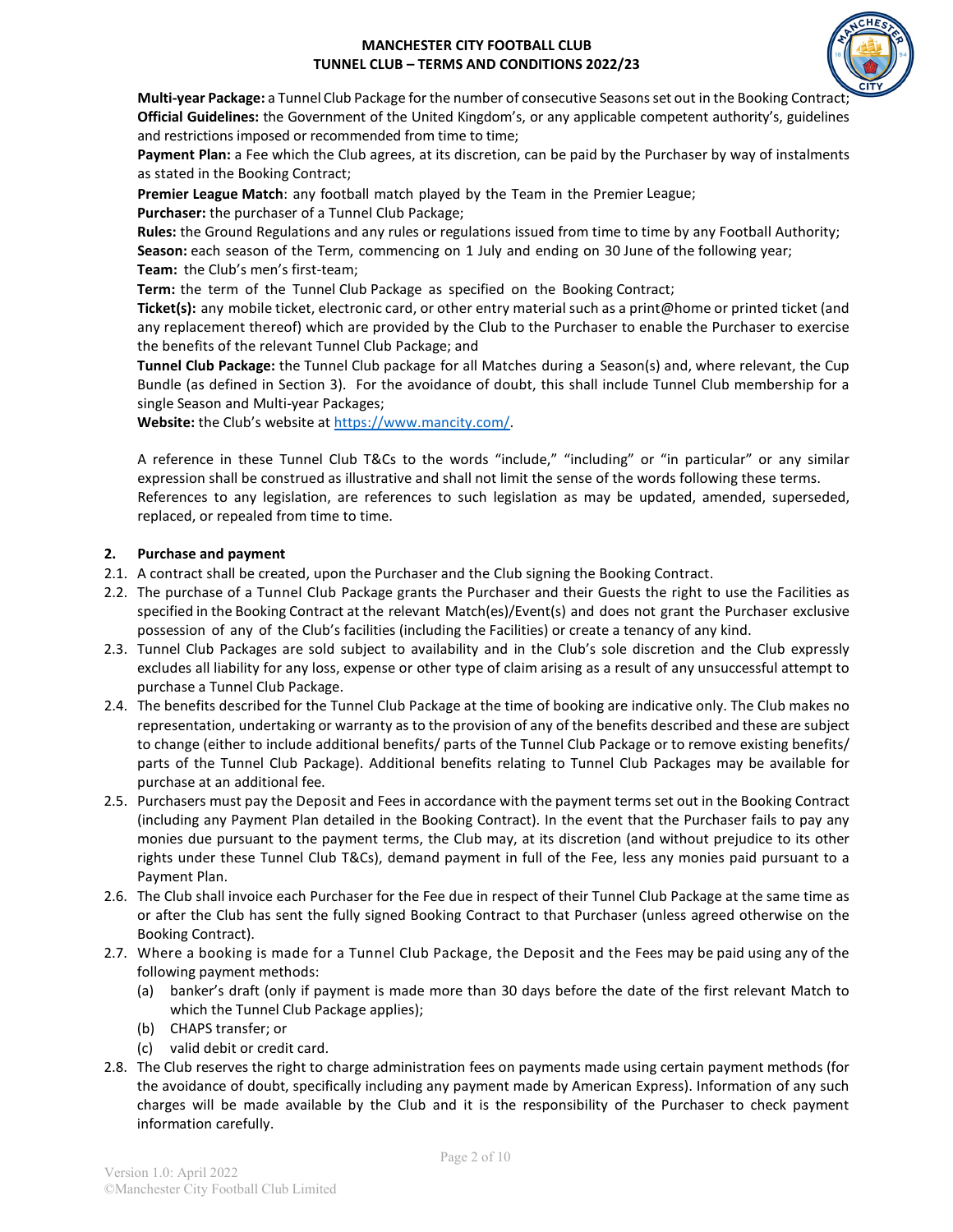

**Multi-year Package:** a Tunnel Club Package for the number of consecutive Seasons set out in the Booking Contract; **Official Guidelines:** the Government of the United Kingdom's, or any applicable competent authority's, guidelines and restrictions imposed or recommended from time to time;

**Payment Plan:** a Fee which the Club agrees, at its discretion, can be paid by the Purchaser by way of instalments as stated in the Booking Contract;

**Premier League Match**: any football match played by the Team in the Premier League;

**Purchaser:** the purchaser of a Tunnel Club Package;

**Rules:** the Ground Regulations and any rules or regulations issued from time to time by any Football Authority; **Season:** each season of the Term, commencing on 1 July and ending on 30 June of the following year;

**Team:** the Club's men's first-team;

**Term:** the term of the Tunnel Club Package as specified on the Booking Contract;

**Ticket(s):** any mobile ticket, electronic card, or other entry material such as a print@home or printed ticket (and any replacement thereof) which are provided by the Club to the Purchaser to enable the Purchaser to exercise the benefits of the relevant Tunnel Club Package; and

**Tunnel Club Package:** the Tunnel Club package for all Matches during a Season(s) and, where relevant, the Cup Bundle (as defined in Section 3). For the avoidance of doubt, this shall include Tunnel Club membership for a single Season and Multi-year Packages;

**Website:** the Club's website at [https://www.mancity.com/.](https://www.mancity.com/)

A reference in these Tunnel Club T&Cs to the words "include," "including" or "in particular" or any similar expression shall be construed as illustrative and shall not limit the sense of the words following these terms. References to any legislation, are references to such legislation as may be updated, amended, superseded, replaced, or repealed from time to time.

## **2. Purchase and payment**

- 2.1. A contract shall be created, upon the Purchaser and the Club signing the Booking Contract.
- 2.2. The purchase of a Tunnel Club Package grants the Purchaser and their Guests the right to use the Facilities as specified in the Booking Contract at the relevant Match(es)/Event(s) and does not grant the Purchaser exclusive possession of any of the Club's facilities (including the Facilities) or create a tenancy of any kind.
- 2.3. Tunnel Club Packages are sold subject to availability and in the Club's sole discretion and the Club expressly excludes all liability for any loss, expense or other type of claim arising as a result of any unsuccessful attempt to purchase a Tunnel Club Package.
- 2.4. The benefits described for the Tunnel Club Package at the time of booking are indicative only. The Club makes no representation, undertaking or warranty as to the provision of any of the benefits described and these are subject to change (either to include additional benefits/ parts of the Tunnel Club Package or to remove existing benefits/ parts of the Tunnel Club Package). Additional benefits relating to Tunnel Club Packages may be available for purchase at an additional fee.
- 2.5. Purchasers must pay the Deposit and Fees in accordance with the payment terms set out in the Booking Contract (including any Payment Plan detailed in the Booking Contract). In the event that the Purchaser fails to pay any monies due pursuant to the payment terms, the Club may, at its discretion (and without prejudice to its other rights under these Tunnel Club T&Cs), demand payment in full of the Fee, less any monies paid pursuant to a Payment Plan.
- 2.6. The Club shall invoice each Purchaser for the Fee due in respect of their Tunnel Club Package at the same time as or after the Club has sent the fully signed Booking Contract to that Purchaser (unless agreed otherwise on the Booking Contract).
- 2.7. Where a booking is made for a Tunnel Club Package, the Deposit and the Fees may be paid using any of the following payment methods:
	- (a) banker's draft (only if payment is made more than 30 days before the date of the first relevant Match to which the Tunnel Club Package applies);
	- (b) CHAPS transfer; or
	- (c) valid debit or credit card.
- 2.8. The Club reserves the right to charge administration fees on payments made using certain payment methods (for the avoidance of doubt, specifically including any payment made by American Express). Information of any such charges will be made available by the Club and it is the responsibility of the Purchaser to check payment information carefully.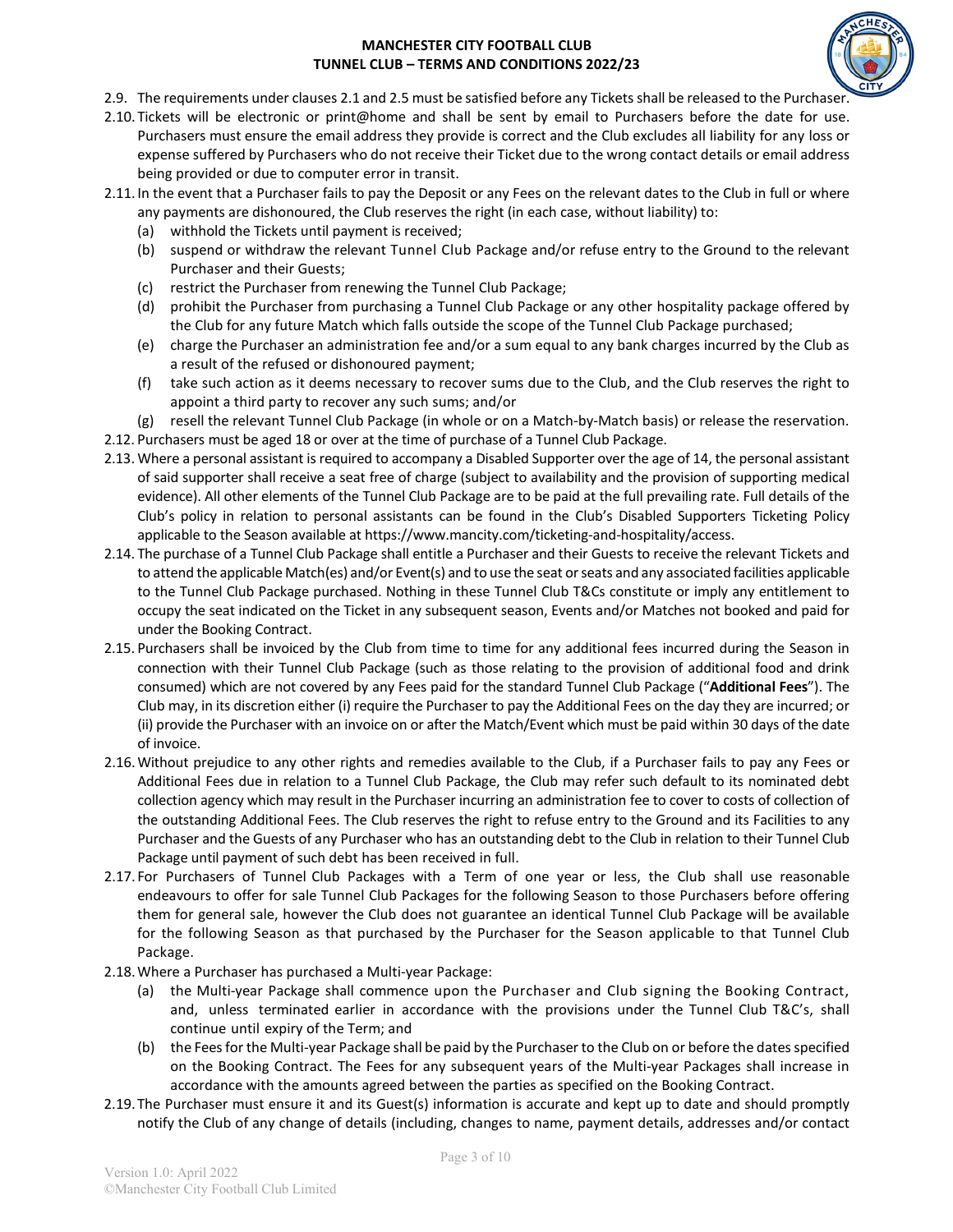

- 2.9. The requirements under clauses 2.1 and 2.5 must be satisfied before any Tickets shall be released to the Purchaser.
- 2.10. Tickets will be electronic or print@home and shall be sent by email to Purchasers before the date for use. Purchasers must ensure the email address they provide is correct and the Club excludes all liability for any loss or expense suffered by Purchasers who do not receive their Ticket due to the wrong contact details or email address being provided or due to computer error in transit.
- 2.11.In the event that a Purchaser fails to pay the Deposit or any Fees on the relevant dates to the Club in full or where any payments are dishonoured, the Club reserves the right (in each case, without liability) to:
	- (a) withhold the Tickets until payment is received;
	- (b) suspend or withdraw the relevant Tunnel Club Package and/or refuse entry to the Ground to the relevant Purchaser and their Guests;
	- (c) restrict the Purchaser from renewing the Tunnel Club Package;
	- (d) prohibit the Purchaser from purchasing a Tunnel Club Package or any other hospitality package offered by the Club for any future Match which falls outside the scope of the Tunnel Club Package purchased;
	- (e) charge the Purchaser an administration fee and/or a sum equal to any bank charges incurred by the Club as a result of the refused or dishonoured payment;
	- (f) take such action as it deems necessary to recover sums due to the Club, and the Club reserves the right to appoint a third party to recover any such sums; and/or
	- (g) resell the relevant Tunnel Club Package (in whole or on a Match-by-Match basis) or release the reservation.
- 2.12. Purchasers must be aged 18 or over at the time of purchase of a Tunnel Club Package.
- 2.13. Where a personal assistant is required to accompany a Disabled Supporter over the age of 14, the personal assistant of said supporter shall receive a seat free of charge (subject to availability and the provision of supporting medical evidence). All other elements of the Tunnel Club Package are to be paid at the full prevailing rate. Full details of the Club's policy in relation to personal assistants can be found in the Club's Disabled Supporters Ticketing Policy applicable to the Season available at https://www.mancity.com/ticketing-and-hospitality/access.
- 2.14. The purchase of a Tunnel Club Package shall entitle a Purchaser and their Guests to receive the relevant Tickets and to attend the applicable Match(es) and/or Event(s) and to use the seat or seats and any associated facilities applicable to the Tunnel Club Package purchased. Nothing in these Tunnel Club T&Cs constitute or imply any entitlement to occupy the seat indicated on the Ticket in any subsequent season, Events and/or Matches not booked and paid for under the Booking Contract.
- 2.15. Purchasers shall be invoiced by the Club from time to time for any additional fees incurred during the Season in connection with their Tunnel Club Package (such as those relating to the provision of additional food and drink consumed) which are not covered by any Fees paid for the standard Tunnel Club Package ("**Additional Fees**"). The Club may, in its discretion either (i) require the Purchaser to pay the Additional Fees on the day they are incurred; or (ii) provide the Purchaser with an invoice on or after the Match/Event which must be paid within 30 days of the date of invoice.
- 2.16.Without prejudice to any other rights and remedies available to the Club, if a Purchaser fails to pay any Fees or Additional Fees due in relation to a Tunnel Club Package, the Club may refer such default to its nominated debt collection agency which may result in the Purchaser incurring an administration fee to cover to costs of collection of the outstanding Additional Fees. The Club reserves the right to refuse entry to the Ground and its Facilities to any Purchaser and the Guests of any Purchaser who has an outstanding debt to the Club in relation to their Tunnel Club Package until payment of such debt has been received in full.
- 2.17. For Purchasers of Tunnel Club Packages with a Term of one year or less, the Club shall use reasonable endeavours to offer for sale Tunnel Club Packages for the following Season to those Purchasers before offering them for general sale, however the Club does not guarantee an identical Tunnel Club Package will be available for the following Season as that purchased by the Purchaser for the Season applicable to that Tunnel Club Package.
- 2.18.Where a Purchaser has purchased a Multi-year Package:
	- (a) the Multi-year Package shall commence upon the Purchaser and Club signing the Booking Contract, and, unless terminated earlier in accordance with the provisions under the Tunnel Club T&C's, shall continue until expiry of the Term; and
	- (b) the Fees for the Multi-year Package shall be paid by the Purchaserto the Club on or before the dates specified on the Booking Contract. The Fees for any subsequent years of the Multi-year Packages shall increase in accordance with the amounts agreed between the parties as specified on the Booking Contract.
- 2.19.The Purchaser must ensure it and its Guest(s) information is accurate and kept up to date and should promptly notify the Club of any change of details (including, changes to name, payment details, addresses and/or contact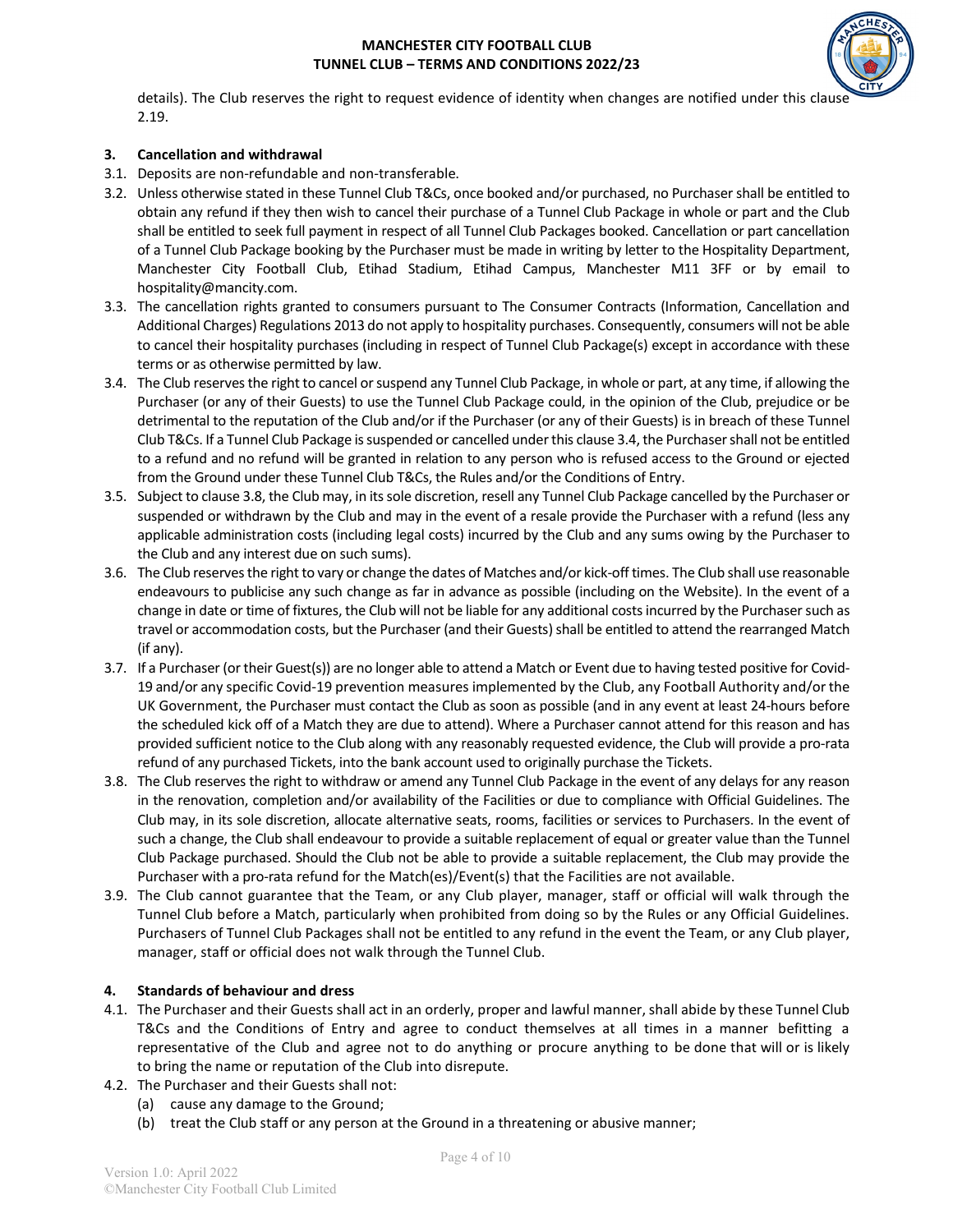

details). The Club reserves the right to request evidence of identity when changes are notified under this clause 2.19.

## **3. Cancellation and withdrawal**

- 3.1. Deposits are non-refundable and non-transferable.
- 3.2. Unless otherwise stated in these Tunnel Club T&Cs, once booked and/or purchased, no Purchaser shall be entitled to obtain any refund if they then wish to cancel their purchase of a Tunnel Club Package in whole or part and the Club shall be entitled to seek full payment in respect of all Tunnel Club Packages booked. Cancellation or part cancellation of a Tunnel Club Package booking by the Purchaser must be made in writing by letter to the Hospitality Department, Manchester City Football Club, Etihad Stadium, Etihad Campus, Manchester M11 3FF or by email to hospitality@mancity.com.
- 3.3. The cancellation rights granted to consumers pursuant to The Consumer Contracts (Information, Cancellation and Additional Charges) Regulations 2013 do not apply to hospitality purchases. Consequently, consumers will not be able to cancel their hospitality purchases (including in respect of Tunnel Club Package(s) except in accordance with these terms or as otherwise permitted by law.
- 3.4. The Club reserves the right to cancel or suspend any Tunnel Club Package, in whole or part, at any time, if allowing the Purchaser (or any of their Guests) to use the Tunnel Club Package could, in the opinion of the Club, prejudice or be detrimental to the reputation of the Club and/or if the Purchaser (or any of their Guests) is in breach of these Tunnel Club T&Cs. If a Tunnel Club Package is suspended or cancelled under this clause 3.4, the Purchaser shall not be entitled to a refund and no refund will be granted in relation to any person who is refused access to the Ground or ejected from the Ground under these Tunnel Club T&Cs, the Rules and/or the Conditions of Entry.
- 3.5. Subject to clause 3.8, the Club may, in its sole discretion, resell any Tunnel Club Package cancelled by the Purchaser or suspended or withdrawn by the Club and may in the event of a resale provide the Purchaser with a refund (less any applicable administration costs (including legal costs) incurred by the Club and any sums owing by the Purchaser to the Club and any interest due on such sums).
- 3.6. The Club reserves the right to vary or change the dates of Matches and/or kick-off times. The Club shall use reasonable endeavours to publicise any such change as far in advance as possible (including on the Website). In the event of a change in date or time of fixtures, the Club will not be liable for any additional costs incurred by the Purchaser such as travel or accommodation costs, but the Purchaser (and their Guests) shall be entitled to attend the rearranged Match (if any).
- 3.7. If a Purchaser (or their Guest(s)) are no longer able to attend a Match or Event due to having tested positive for Covid-19 and/or any specific Covid-19 prevention measures implemented by the Club, any Football Authority and/or the UK Government, the Purchaser must contact the Club as soon as possible (and in any event at least 24-hours before the scheduled kick off of a Match they are due to attend). Where a Purchaser cannot attend for this reason and has provided sufficient notice to the Club along with any reasonably requested evidence, the Club will provide a pro-rata refund of any purchased Tickets, into the bank account used to originally purchase the Tickets.
- 3.8. The Club reserves the right to withdraw or amend any Tunnel Club Package in the event of any delays for any reason in the renovation, completion and/or availability of the Facilities or due to compliance with Official Guidelines. The Club may, in its sole discretion, allocate alternative seats, rooms, facilities or services to Purchasers. In the event of such a change, the Club shall endeavour to provide a suitable replacement of equal or greater value than the Tunnel Club Package purchased. Should the Club not be able to provide a suitable replacement, the Club may provide the Purchaser with a pro-rata refund for the Match(es)/Event(s) that the Facilities are not available.
- 3.9. The Club cannot guarantee that the Team, or any Club player, manager, staff or official will walk through the Tunnel Club before a Match, particularly when prohibited from doing so by the Rules or any Official Guidelines. Purchasers of Tunnel Club Packages shall not be entitled to any refund in the event the Team, or any Club player, manager, staff or official does not walk through the Tunnel Club.

## **4. Standards of behaviour and dress**

- 4.1. The Purchaser and their Guests shall act in an orderly, proper and lawful manner, shall abide by these Tunnel Club T&Cs and the Conditions of Entry and agree to conduct themselves at all times in a manner befitting a representative of the Club and agree not to do anything or procure anything to be done that will or is likely to bring the name or reputation of the Club into disrepute.
- 4.2. The Purchaser and their Guests shall not:
	- (a) cause any damage to the Ground;
	- (b) treat the Club staff or any person at the Ground in a threatening or abusive manner;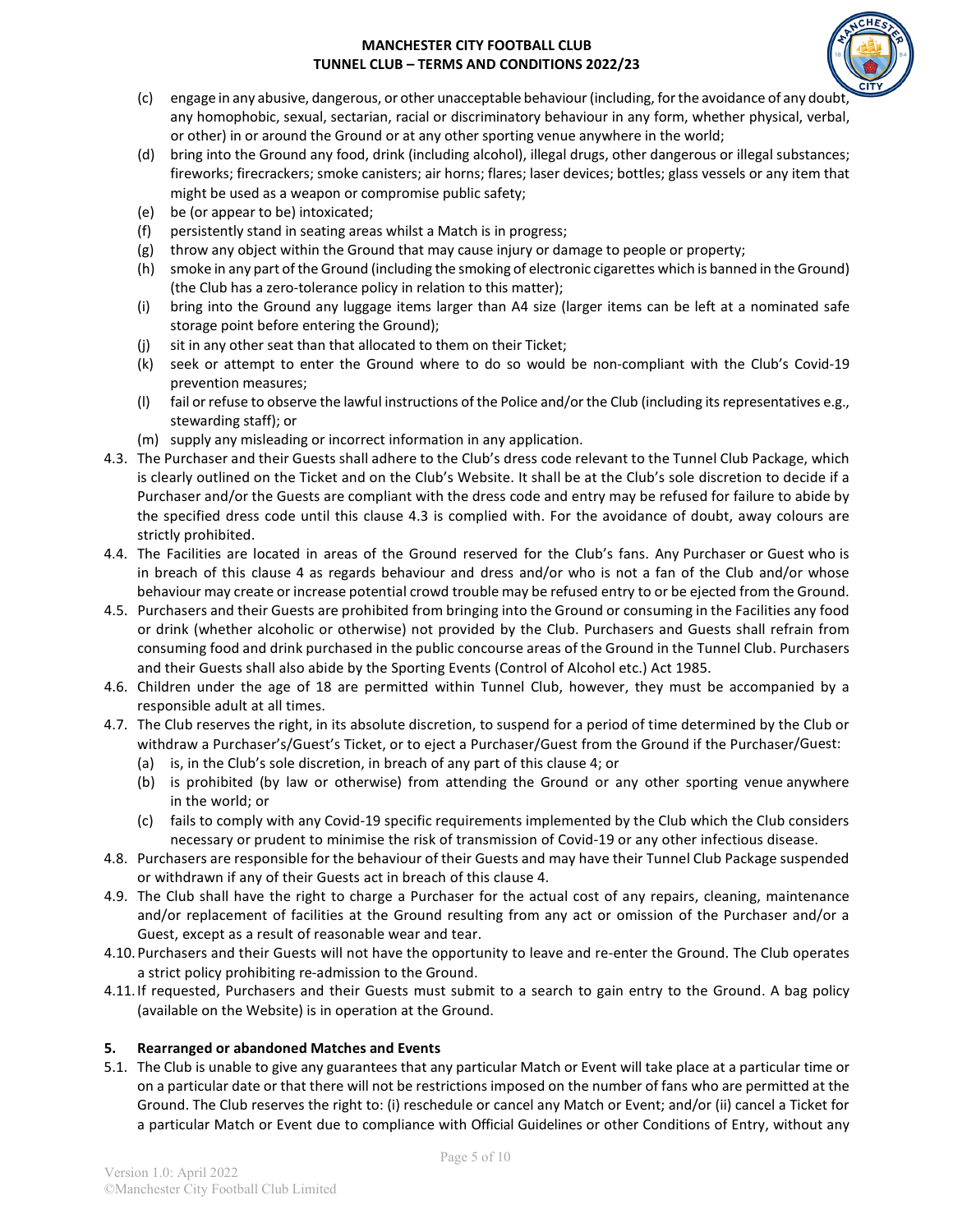

- (c) engage in any abusive, dangerous, or other unacceptable behaviour (including, for the avoidance of any doubt, any homophobic, sexual, sectarian, racial or discriminatory behaviour in any form, whether physical, verbal, or other) in or around the Ground or at any other sporting venue anywhere in the world;
- (d) bring into the Ground any food, drink (including alcohol), illegal drugs, other dangerous or illegal substances; fireworks; firecrackers; smoke canisters; air horns; flares; laser devices; bottles; glass vessels or any item that might be used as a weapon or compromise public safety;
- (e) be (or appear to be) intoxicated;
- (f) persistently stand in seating areas whilst a Match is in progress;
- (g) throw any object within the Ground that may cause injury or damage to people or property;
- (h) smoke in any part of the Ground (including the smoking of electronic cigarettes which is banned in the Ground) (the Club has a zero-tolerance policy in relation to this matter);
- (i) bring into the Ground any luggage items larger than A4 size (larger items can be left at a nominated safe storage point before entering the Ground);
- (j) sit in any other seat than that allocated to them on their Ticket;
- (k) seek or attempt to enter the Ground where to do so would be non-compliant with the Club's Covid-19 prevention measures;
- (l) fail or refuse to observe the lawful instructions of the Police and/or the Club (including its representatives e.g., stewarding staff); or
- (m) supply any misleading or incorrect information in any application.
- 4.3. The Purchaser and their Guests shall adhere to the Club's dress code relevant to the Tunnel Club Package, which is clearly outlined on the Ticket and on the Club's Website. It shall be at the Club's sole discretion to decide if a Purchaser and/or the Guests are compliant with the dress code and entry may be refused for failure to abide by the specified dress code until this clause 4.3 is complied with. For the avoidance of doubt, away colours are strictly prohibited.
- 4.4. The Facilities are located in areas of the Ground reserved for the Club's fans. Any Purchaser or Guest who is in breach of this clause 4 as regards behaviour and dress and/or who is not a fan of the Club and/or whose behaviour may create or increase potential crowd trouble may be refused entry to or be ejected from the Ground.
- 4.5. Purchasers and their Guests are prohibited from bringing into the Ground or consuming in the Facilities any food or drink (whether alcoholic or otherwise) not provided by the Club. Purchasers and Guests shall refrain from consuming food and drink purchased in the public concourse areas of the Ground in the Tunnel Club. Purchasers and their Guests shall also abide by the Sporting Events (Control of Alcohol etc.) Act 1985.
- 4.6. Children under the age of 18 are permitted within Tunnel Club, however, they must be accompanied by a responsible adult at all times.
- 4.7. The Club reserves the right, in its absolute discretion, to suspend for a period of time determined by the Club or withdraw a Purchaser's/Guest's Ticket, or to eject a Purchaser/Guest from the Ground if the Purchaser/Guest:
	- (a) is, in the Club's sole discretion, in breach of any part of this clause 4; or
	- (b) is prohibited (by law or otherwise) from attending the Ground or any other sporting venue anywhere in the world; or
	- (c) fails to comply with any Covid-19 specific requirements implemented by the Club which the Club considers necessary or prudent to minimise the risk of transmission of Covid-19 or any other infectious disease.
- 4.8. Purchasers are responsible for the behaviour of their Guests and may have their Tunnel Club Package suspended or withdrawn if any of their Guests act in breach of this clause 4.
- 4.9. The Club shall have the right to charge a Purchaser for the actual cost of any repairs, cleaning, maintenance and/or replacement of facilities at the Ground resulting from any act or omission of the Purchaser and/or a Guest, except as a result of reasonable wear and tear.
- 4.10.Purchasers and their Guests will not have the opportunity to leave and re-enter the Ground. The Club operates a strict policy prohibiting re-admission to the Ground.
- 4.11.If requested, Purchasers and their Guests must submit to a search to gain entry to the Ground. A bag policy (available on the Website) is in operation at the Ground.

# **5. Rearranged or abandoned Matches and Events**

5.1. The Club is unable to give any guarantees that any particular Match or Event will take place at a particular time or on a particular date or that there will not be restrictions imposed on the number of fans who are permitted at the Ground. The Club reserves the right to: (i) reschedule or cancel any Match or Event; and/or (ii) cancel a Ticket for a particular Match or Event due to compliance with Official Guidelines or other Conditions of Entry, without any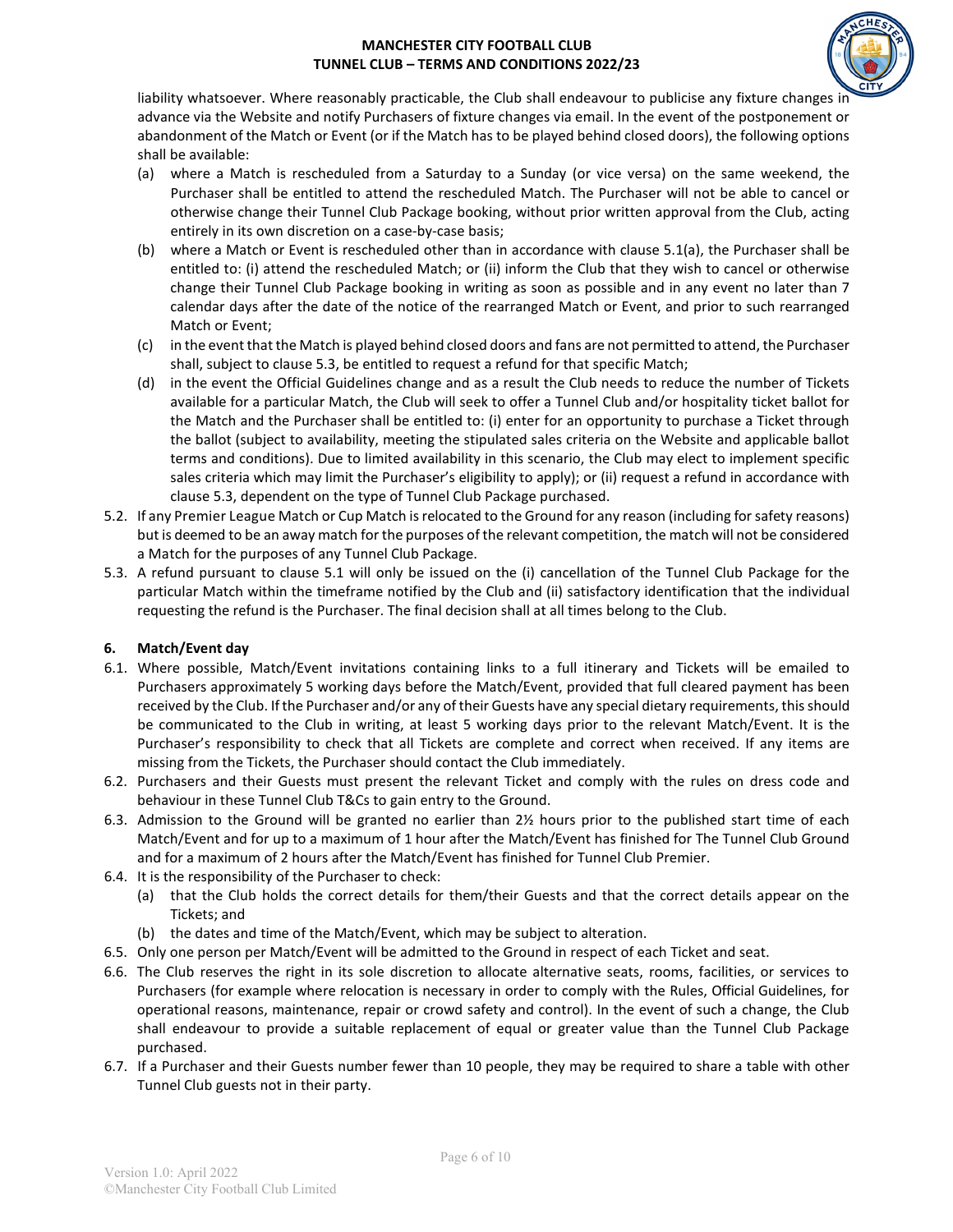

liability whatsoever. Where reasonably practicable, the Club shall endeavour to publicise any fixture changes in advance via the Website and notify Purchasers of fixture changes via email. In the event of the postponement or abandonment of the Match or Event (or if the Match has to be played behind closed doors), the following options shall be available:

- (a) where a Match is rescheduled from a Saturday to a Sunday (or vice versa) on the same weekend, the Purchaser shall be entitled to attend the rescheduled Match. The Purchaser will not be able to cancel or otherwise change their Tunnel Club Package booking, without prior written approval from the Club, acting entirely in its own discretion on a case-by-case basis;
- (b) where a Match or Event is rescheduled other than in accordance with clause 5.1(a), the Purchaser shall be entitled to: (i) attend the rescheduled Match; or (ii) inform the Club that they wish to cancel or otherwise change their Tunnel Club Package booking in writing as soon as possible and in any event no later than 7 calendar days after the date of the notice of the rearranged Match or Event, and prior to such rearranged Match or Event;
- (c) in the event that the Match is played behind closed doors and fans are not permitted to attend, the Purchaser shall, subject to clause 5.3, be entitled to request a refund for that specific Match;
- (d) in the event the Official Guidelines change and as a result the Club needs to reduce the number of Tickets available for a particular Match, the Club will seek to offer a Tunnel Club and/or hospitality ticket ballot for the Match and the Purchaser shall be entitled to: (i) enter for an opportunity to purchase a Ticket through the ballot (subject to availability, meeting the stipulated sales criteria on the Website and applicable ballot terms and conditions). Due to limited availability in this scenario, the Club may elect to implement specific sales criteria which may limit the Purchaser's eligibility to apply); or (ii) request a refund in accordance with clause 5.3, dependent on the type of Tunnel Club Package purchased.
- 5.2. If any Premier League Match or Cup Match is relocated to the Ground for any reason (including forsafety reasons) but is deemed to be an away match for the purposes of the relevant competition, the match will not be considered a Match for the purposes of any Tunnel Club Package.
- 5.3. A refund pursuant to clause 5.1 will only be issued on the (i) cancellation of the Tunnel Club Package for the particular Match within the timeframe notified by the Club and (ii) satisfactory identification that the individual requesting the refund is the Purchaser. The final decision shall at all times belong to the Club.

# **6. Match/Event day**

- 6.1. Where possible, Match/Event invitations containing links to a full itinerary and Tickets will be emailed to Purchasers approximately 5 working days before the Match/Event, provided that full cleared payment has been received by the Club. Ifthe Purchaser and/or any of their Guests have any special dietary requirements, this should be communicated to the Club in writing, at least 5 working days prior to the relevant Match/Event. It is the Purchaser's responsibility to check that all Tickets are complete and correct when received. If any items are missing from the Tickets, the Purchaser should contact the Club immediately.
- 6.2. Purchasers and their Guests must present the relevant Ticket and comply with the rules on dress code and behaviour in these Tunnel Club T&Cs to gain entry to the Ground.
- 6.3. Admission to the Ground will be granted no earlier than 2½ hours prior to the published start time of each Match/Event and for up to a maximum of 1 hour after the Match/Event has finished for The Tunnel Club Ground and for a maximum of 2 hours after the Match/Event has finished for Tunnel Club Premier.
- 6.4. It is the responsibility of the Purchaser to check:
	- (a) that the Club holds the correct details for them/their Guests and that the correct details appear on the Tickets; and
	- (b) the dates and time of the Match/Event, which may be subject to alteration.
- 6.5. Only one person per Match/Event will be admitted to the Ground in respect of each Ticket and seat.
- 6.6. The Club reserves the right in its sole discretion to allocate alternative seats, rooms, facilities, or services to Purchasers (for example where relocation is necessary in order to comply with the Rules, Official Guidelines, for operational reasons, maintenance, repair or crowd safety and control). In the event of such a change, the Club shall endeavour to provide a suitable replacement of equal or greater value than the Tunnel Club Package purchased.
- 6.7. If a Purchaser and their Guests number fewer than 10 people, they may be required to share a table with other Tunnel Club guests not in their party.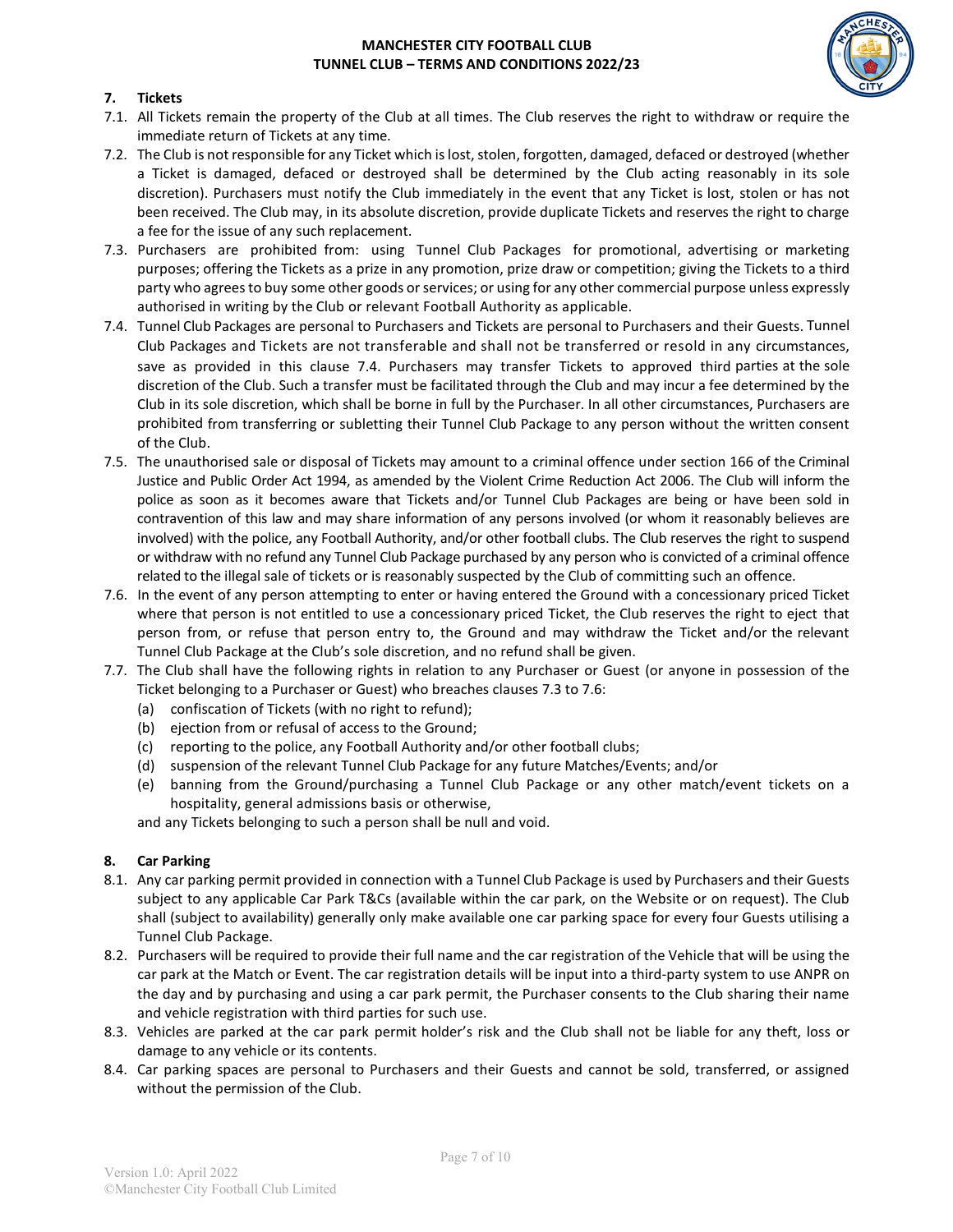

## **7. Tickets**

- 7.1. All Tickets remain the property of the Club at all times. The Club reserves the right to withdraw or require the immediate return of Tickets at any time.
- 7.2. The Club is not responsible for any Ticket which is lost, stolen, forgotten, damaged, defaced or destroyed (whether a Ticket is damaged, defaced or destroyed shall be determined by the Club acting reasonably in its sole discretion). Purchasers must notify the Club immediately in the event that any Ticket is lost, stolen or has not been received. The Club may, in its absolute discretion, provide duplicate Tickets and reserves the right to charge a fee for the issue of any such replacement.
- 7.3. Purchasers are prohibited from: using Tunnel Club Packages for promotional, advertising or marketing purposes; offering the Tickets as a prize in any promotion, prize draw or competition; giving the Tickets to a third party who agrees to buy some other goods or services; or using for any other commercial purpose unless expressly authorised in writing by the Club or relevant Football Authority as applicable.
- 7.4. Tunnel Club Packages are personal to Purchasers and Tickets are personal to Purchasers and their Guests. Tunnel Club Packages and Tickets are not transferable and shall not be transferred or resold in any circumstances, save as provided in this clause 7.4. Purchasers may transfer Tickets to approved third parties at the sole discretion of the Club. Such a transfer must be facilitated through the Club and may incur a fee determined by the Club in its sole discretion, which shall be borne in full by the Purchaser. In all other circumstances, Purchasers are prohibited from transferring or subletting their Tunnel Club Package to any person without the written consent of the Club.
- 7.5. The unauthorised sale or disposal of Tickets may amount to a criminal offence under section 166 of the Criminal Justice and Public Order Act 1994, as amended by the Violent Crime Reduction Act 2006. The Club will inform the police as soon as it becomes aware that Tickets and/or Tunnel Club Packages are being or have been sold in contravention of this law and may share information of any persons involved (or whom it reasonably believes are involved) with the police, any Football Authority, and/or other football clubs. The Club reserves the right to suspend or withdraw with no refund any Tunnel Club Package purchased by any person who is convicted of a criminal offence related to the illegal sale of tickets or is reasonably suspected by the Club of committing such an offence.
- 7.6. In the event of any person attempting to enter or having entered the Ground with a concessionary priced Ticket where that person is not entitled to use a concessionary priced Ticket, the Club reserves the right to eject that person from, or refuse that person entry to, the Ground and may withdraw the Ticket and/or the relevant Tunnel Club Package at the Club's sole discretion, and no refund shall be given.
- 7.7. The Club shall have the following rights in relation to any Purchaser or Guest (or anyone in possession of the Ticket belonging to a Purchaser or Guest) who breaches clauses 7.3 to 7.6:
	- (a) confiscation of Tickets (with no right to refund);
	- (b) ejection from or refusal of access to the Ground;
	- (c) reporting to the police, any Football Authority and/or other football clubs;
	- (d) suspension of the relevant Tunnel Club Package for any future Matches/Events; and/or
	- (e) banning from the Ground/purchasing a Tunnel Club Package or any other match/event tickets on a hospitality, general admissions basis or otherwise,

and any Tickets belonging to such a person shall be null and void.

## **8. Car Parking**

- 8.1. Any car parking permit provided in connection with a Tunnel Club Package is used by Purchasers and their Guests subject to any applicable Car Park T&Cs (available within the car park, on the Website or on request). The Club shall (subject to availability) generally only make available one car parking space for every four Guests utilising a Tunnel Club Package.
- 8.2. Purchasers will be required to provide their full name and the car registration of the Vehicle that will be using the car park at the Match or Event. The car registration details will be input into a third-party system to use ANPR on the day and by purchasing and using a car park permit, the Purchaser consents to the Club sharing their name and vehicle registration with third parties for such use.
- 8.3. Vehicles are parked at the car park permit holder's risk and the Club shall not be liable for any theft, loss or damage to any vehicle or its contents.
- 8.4. Car parking spaces are personal to Purchasers and their Guests and cannot be sold, transferred, or assigned without the permission of the Club.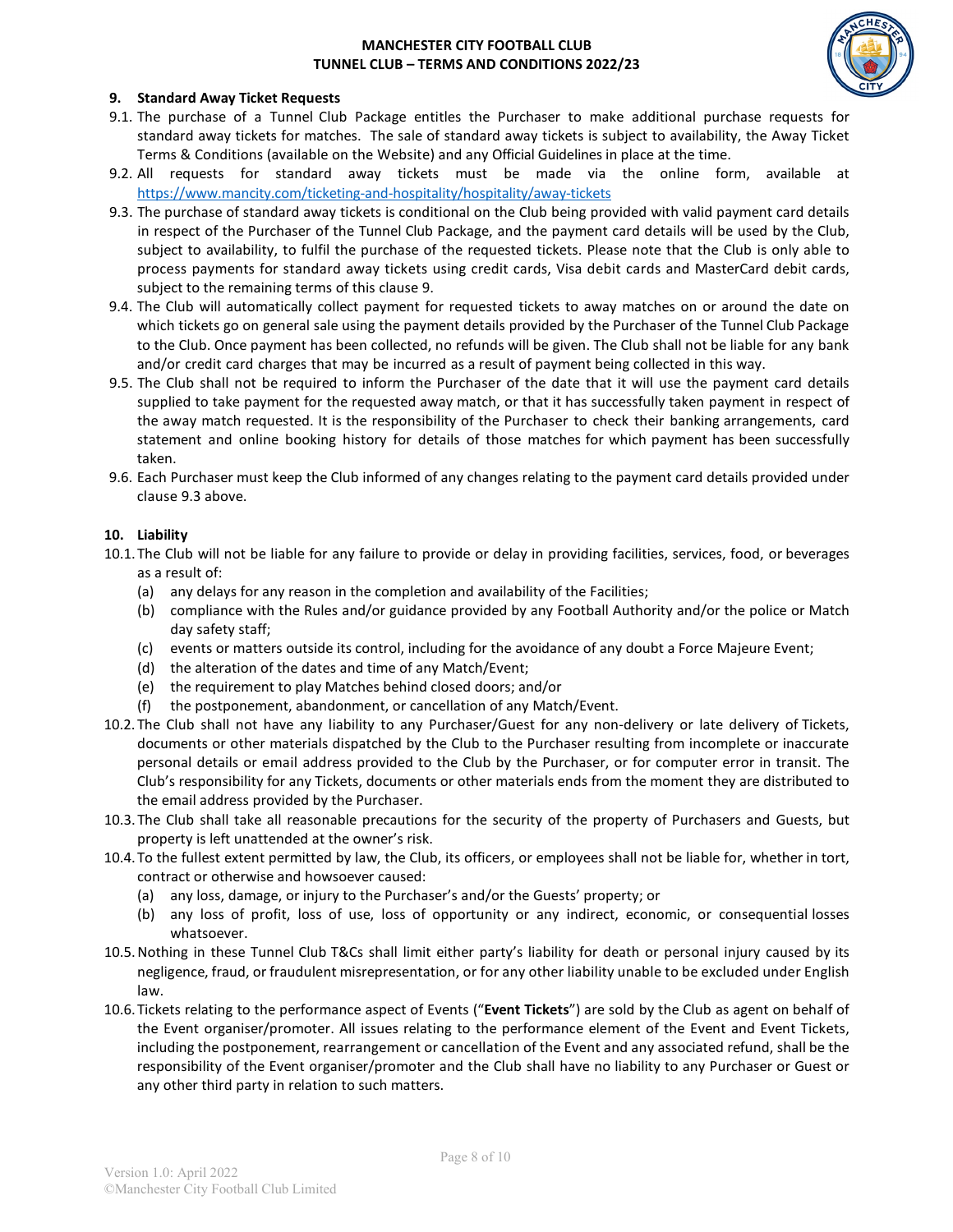

#### **9. Standard Away Ticket Requests**

- 9.1. The purchase of a Tunnel Club Package entitles the Purchaser to make additional purchase requests for standard away tickets for matches. The sale of standard away tickets is subject to availability, the Away Ticket Terms & Conditions (available on the Website) and any Official Guidelines in place at the time.
- 9.2. All requests for standard away tickets must be made via the online form, available at <https://www.mancity.com/ticketing-and-hospitality/hospitality/away-tickets>
- 9.3. The purchase of standard away tickets is conditional on the Club being provided with valid payment card details in respect of the Purchaser of the Tunnel Club Package, and the payment card details will be used by the Club, subject to availability, to fulfil the purchase of the requested tickets. Please note that the Club is only able to process payments for standard away tickets using credit cards, Visa debit cards and MasterCard debit cards, subject to the remaining terms of this clause 9.
- 9.4. The Club will automatically collect payment for requested tickets to away matches on or around the date on which tickets go on general sale using the payment details provided by the Purchaser of the Tunnel Club Package to the Club. Once payment has been collected, no refunds will be given. The Club shall not be liable for any bank and/or credit card charges that may be incurred as a result of payment being collected in this way.
- 9.5. The Club shall not be required to inform the Purchaser of the date that it will use the payment card details supplied to take payment for the requested away match, or that it has successfully taken payment in respect of the away match requested. It is the responsibility of the Purchaser to check their banking arrangements, card statement and online booking history for details of those matches for which payment has been successfully taken.
- 9.6. Each Purchaser must keep the Club informed of any changes relating to the payment card details provided under clause 9.3 above.

#### **10. Liability**

- 10.1.The Club will not be liable for any failure to provide or delay in providing facilities, services, food, or beverages as a result of:
	- (a) any delays for any reason in the completion and availability of the Facilities;
	- (b) compliance with the Rules and/or guidance provided by any Football Authority and/or the police or Match day safety staff;
	- (c) events or matters outside its control, including for the avoidance of any doubt a Force Majeure Event;
	- (d) the alteration of the dates and time of any Match/Event;
	- (e) the requirement to play Matches behind closed doors; and/or
	- (f) the postponement, abandonment, or cancellation of any Match/Event.
- 10.2.The Club shall not have any liability to any Purchaser/Guest for any non-delivery or late delivery of Tickets, documents or other materials dispatched by the Club to the Purchaser resulting from incomplete or inaccurate personal details or email address provided to the Club by the Purchaser, or for computer error in transit. The Club's responsibility for any Tickets, documents or other materials ends from the moment they are distributed to the email address provided by the Purchaser.
- 10.3.The Club shall take all reasonable precautions for the security of the property of Purchasers and Guests, but property is left unattended at the owner's risk.
- 10.4.To the fullest extent permitted by law, the Club, its officers, or employees shall not be liable for, whether in tort, contract or otherwise and howsoever caused:
	- (a) any loss, damage, or injury to the Purchaser's and/or the Guests' property; or
	- (b) any loss of profit, loss of use, loss of opportunity or any indirect, economic, or consequential losses whatsoever.
- 10.5.Nothing in these Tunnel Club T&Cs shall limit either party's liability for death or personal injury caused by its negligence, fraud, or fraudulent misrepresentation, or for any other liability unable to be excluded under English law.
- 10.6.Tickets relating to the performance aspect of Events ("**Event Tickets**") are sold by the Club as agent on behalf of the Event organiser/promoter. All issues relating to the performance element of the Event and Event Tickets, including the postponement, rearrangement or cancellation of the Event and any associated refund, shall be the responsibility of the Event organiser/promoter and the Club shall have no liability to any Purchaser or Guest or any other third party in relation to such matters.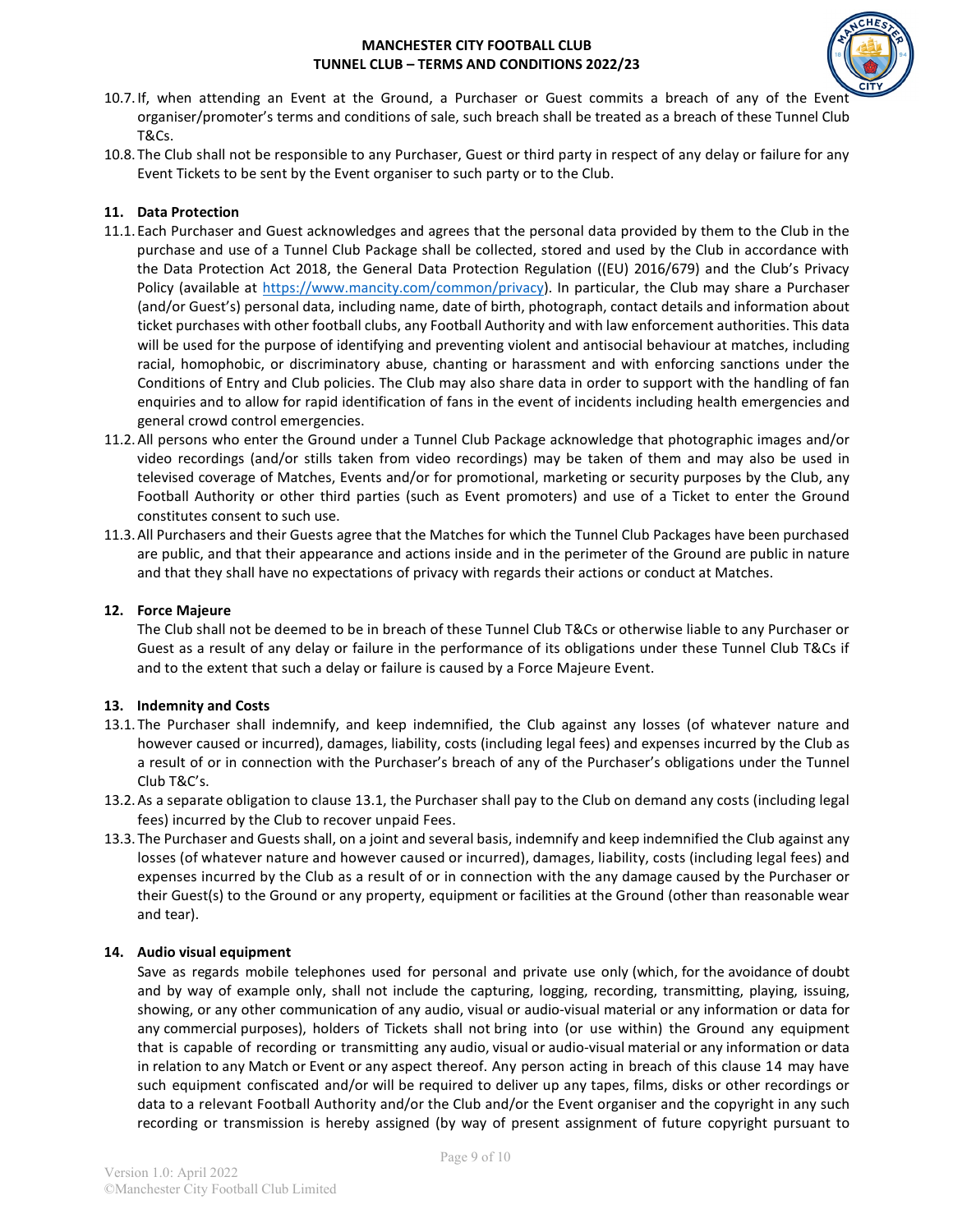

- 10.7.If, when attending an Event at the Ground, a Purchaser or Guest commits a breach of any of the Ever organiser/promoter's terms and conditions of sale, such breach shall be treated as a breach of these Tunnel Club T&Cs.
- 10.8.The Club shall not be responsible to any Purchaser, Guest or third party in respect of any delay or failure for any Event Tickets to be sent by the Event organiser to such party or to the Club.

## **11. Data Protection**

- 11.1.Each Purchaser and Guest acknowledges and agrees that the personal data provided by them to the Club in the purchase and use of a Tunnel Club Package shall be collected, stored and used by the Club in accordance with the Data Protection Act 2018, the General Data Protection Regulation ((EU) 2016/679) and the Club's Privacy Policy (available at [https://www.mancity.com/common/privacy\)](https://www.mancity.com/common/privacy). In particular, the Club may share a Purchaser (and/or Guest's) personal data, including name, date of birth, photograph, contact details and information about ticket purchases with other football clubs, any Football Authority and with law enforcement authorities. This data will be used for the purpose of identifying and preventing violent and antisocial behaviour at matches, including racial, homophobic, or discriminatory abuse, chanting or harassment and with enforcing sanctions under the Conditions of Entry and Club policies. The Club may also share data in order to support with the handling of fan enquiries and to allow for rapid identification of fans in the event of incidents including health emergencies and general crowd control emergencies.
- 11.2.All persons who enter the Ground under a Tunnel Club Package acknowledge that photographic images and/or video recordings (and/or stills taken from video recordings) may be taken of them and may also be used in televised coverage of Matches, Events and/or for promotional, marketing or security purposes by the Club, any Football Authority or other third parties (such as Event promoters) and use of a Ticket to enter the Ground constitutes consent to such use.
- 11.3.All Purchasers and their Guests agree that the Matches for which the Tunnel Club Packages have been purchased are public, and that their appearance and actions inside and in the perimeter of the Ground are public in nature and that they shall have no expectations of privacy with regards their actions or conduct at Matches.

## **12. Force Majeure**

The Club shall not be deemed to be in breach of these Tunnel Club T&Cs or otherwise liable to any Purchaser or Guest as a result of any delay or failure in the performance of its obligations under these Tunnel Club T&Cs if and to the extent that such a delay or failure is caused by a Force Majeure Event.

## **13. Indemnity and Costs**

- 13.1.The Purchaser shall indemnify, and keep indemnified, the Club against any losses (of whatever nature and however caused or incurred), damages, liability, costs (including legal fees) and expenses incurred by the Club as a result of or in connection with the Purchaser's breach of any of the Purchaser's obligations under the Tunnel Club T&C's.
- 13.2.As a separate obligation to clause 13.1, the Purchaser shall pay to the Club on demand any costs (including legal fees) incurred by the Club to recover unpaid Fees.
- 13.3.The Purchaser and Guests shall, on a joint and several basis, indemnify and keep indemnified the Club against any losses (of whatever nature and however caused or incurred), damages, liability, costs (including legal fees) and expenses incurred by the Club as a result of or in connection with the any damage caused by the Purchaser or their Guest(s) to the Ground or any property, equipment or facilities at the Ground (other than reasonable wear and tear).

## **14. Audio visual equipment**

Save as regards mobile telephones used for personal and private use only (which, for the avoidance of doubt and by way of example only, shall not include the capturing, logging, recording, transmitting, playing, issuing, showing, or any other communication of any audio, visual or audio-visual material or any information or data for any commercial purposes), holders of Tickets shall not bring into (or use within) the Ground any equipment that is capable of recording or transmitting any audio, visual or audio-visual material or any information or data in relation to any Match or Event or any aspect thereof. Any person acting in breach of this clause 14 may have such equipment confiscated and/or will be required to deliver up any tapes, films, disks or other recordings or data to a relevant Football Authority and/or the Club and/or the Event organiser and the copyright in any such recording or transmission is hereby assigned (by way of present assignment of future copyright pursuant to